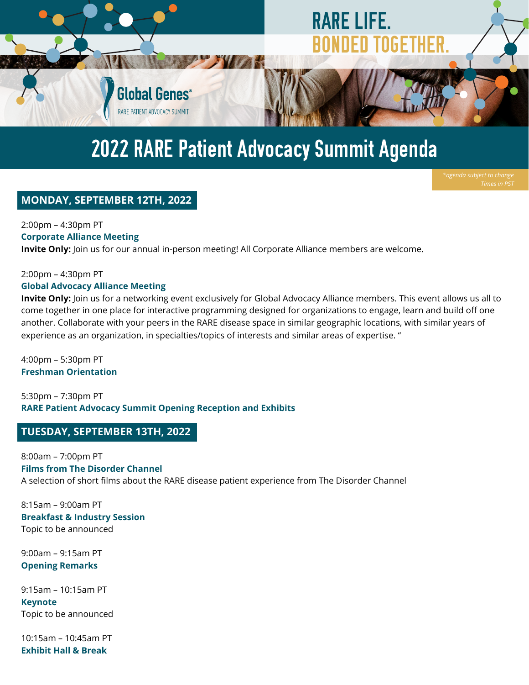

# 2022 RARE Patient Advocacy Summit Agenda

# **MONDAY, SEPTEMBER 12TH, 2022**

2:00pm – 4:30pm PT **Corporate Alliance Meeting**

**Invite Only:** Join us for our annual in-person meeting! All Corporate Alliance members are welcome.

#### 2:00pm – 4:30pm PT **Global Advocacy Alliance Meeting**

**Invite Only:** Join us for a networking event exclusively for Global Advocacy Alliance members. This event allows us all to come together in one place for interactive programming designed for organizations to engage, learn and build off one another. Collaborate with your peers in the RARE disease space in similar geographic locations, with similar years of experience as an organization, in specialties/topics of interests and similar areas of expertise. "

4:00pm – 5:30pm PT **Freshman Orientation**

5:30pm – 7:30pm PT **RARE Patient Advocacy Summit Opening Reception and Exhibits**

# **TUESDAY, SEPTEMBER 13TH, 2022**

8:00am – 7:00pm PT **Films from The Disorder Channel** A selection of short films about the RARE disease patient experience from The Disorder Channel

8:15am – 9:00am PT **Breakfast & Industry Session** Topic to be announced

9:00am – 9:15am PT **Opening Remarks**

9:15am – 10:15am PT **Keynote** Topic to be announced

10:15am – 10:45am PT **Exhibit Hall & Break**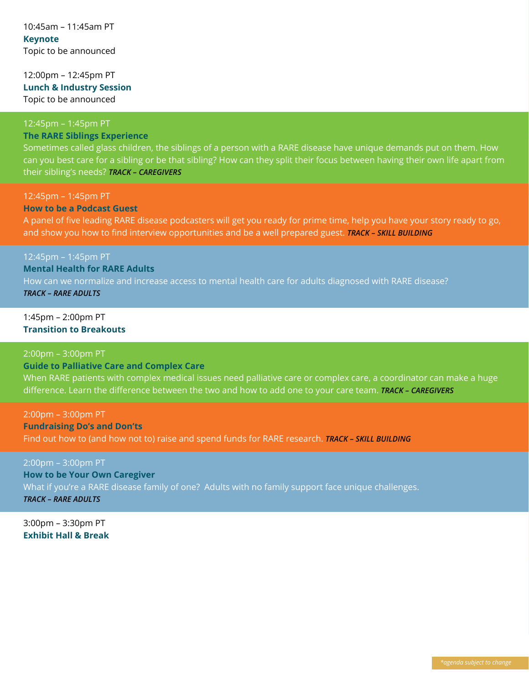### 12:00pm – 12:45pm PT **Lunch & Industry Session** Topic to be announced

# 12:45pm – 1:45pm PT

# **The RARE Siblings Experience**

Sometimes called glass children, the siblings of a person with a RARE disease have unique demands put on them. How can you best care for a sibling or be that sibling? How can they split their focus between having their own life apart from their sibling's needs? *TRACK – CAREGIVERS*

#### 12:45pm – 1:45pm PT **How to be a Podcast Guest**

A panel of five leading RARE disease podcasters will get you ready for prime time, help you have your story ready to go, and show you how to find interview opportunities and be a well prepared guest. *TRACK – SKILL BUILDING*

### 12:45pm – 1:45pm PT

**Mental Health for RARE Adults** How can we normalize and increase access to mental health care for adults diagnosed with RARE disease? *TRACK – RARE ADULTS*

#### 1:45pm – 2:00pm PT **Transition to Breakouts**

#### 2:00pm – 3:00pm PT

**Guide to Palliative Care and Complex Care**

When RARE patients with complex medical issues need palliative care or complex care, a coordinator can make a huge difference. Learn the difference between the two and how to add one to your care team. *TRACK – CAREGIVERS*

2:00pm – 3:00pm PT **Fundraising Do's and Don'ts** Find out how to (and how not to) raise and spend funds for RARE research. *TRACK – SKILL BUILDING*

2:00pm – 3:00pm PT **How to be Your Own Caregiver** What if you're a RARE disease family of one? Adults with no family support face unique challenges. *TRACK – RARE ADULTS*

3:00pm – 3:30pm PT **Exhibit Hall & Break**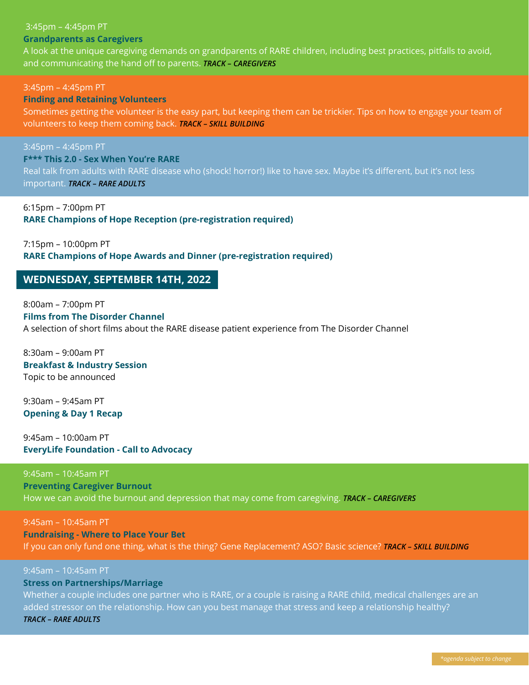#### 3:45pm – 4:45pm PT **Grandparents as Caregivers**

A look at the unique caregiving demands on grandparents of RARE children, including best practices, pitfalls to avoid, and communicating the hand off to parents. *TRACK – CAREGIVERS*

3:45pm – 4:45pm PT

# **Finding and Retaining Volunteers**

Sometimes getting the volunteer is the easy part, but keeping them can be trickier. Tips on how to engage your team of volunteers to keep them coming back. *TRACK – SKILL BUILDING*

3:45pm – 4:45pm PT

## **F\*\*\* This 2.0 - Sex When You're RARE**

Real talk from adults with RARE disease who (shock! horror!) like to have sex. Maybe it's different, but it's not less

important. *TRACK – RARE ADULTS*

6:15pm – 7:00pm PT **RARE Champions of Hope Reception (pre-registration required)**

7:15pm – 10:00pm PT **RARE Champions of Hope Awards and Dinner (pre-registration required)**

# **WEDNESDAY, SEPTEMBER 14TH, 2022**

8:00am – 7:00pm PT **Films from The Disorder Channel** A selection of short films about the RARE disease patient experience from The Disorder Channel

8:30am – 9:00am PT **Breakfast & Industry Session** Topic to be announced

9:30am – 9:45am PT **Opening & Day 1 Recap**

9:45am – 10:00am PT **EveryLife Foundation - Call to Advocacy**

9:45am – 10:45am PT **Preventing Caregiver Burnout** How we can avoid the burnout and depression that may come from caregiving. *TRACK – CAREGIVERS*

9:45am – 10:45am PT **Fundraising - Where to Place Your Bet** If you can only fund one thing, what is the thing? Gene Replacement? ASO? Basic science? *TRACK – SKILL BUILDING*

# 9:45am – 10:45am PT

# **Stress on Partnerships/Marriage**

Whether a couple includes one partner who is RARE, or a couple is raising a RARE child, medical challenges are an added stressor on the relationship. How can you best manage that stress and keep a relationship healthy? *TRACK – RARE ADULTS*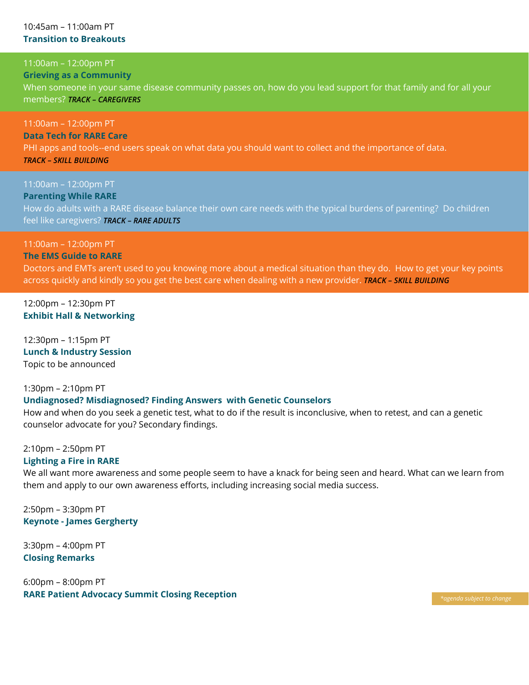#### 10:45am – 11:00am PT **Transition to Breakouts**

# 11:00am – 12:00pm PT

#### **Grieving as a Community**

When someone in your same disease community passes on, how do you lead support for that family and for all your members? *TRACK – CAREGIVERS*

11:00am – 12:00pm PT **Data Tech for RARE Care** PHI apps and tools--end users speak on what data you should want to collect and the importance of data. *TRACK – SKILL BUILDING*

11:00am – 12:00pm PT **Parenting While RARE** How do adults with a RARE disease balance their own care needs with the typical burdens of parenting? Do children feel like caregivers? *TRACK – RARE ADULTS*

# 11:00am – 12:00pm PT

**The EMS Guide to RARE**

Doctors and EMTs aren't used to you knowing more about a medical situation than they do. How to get your key points across quickly and kindly so you get the best care when dealing with a new provider. *TRACK – SKILL BUILDING*

12:00pm – 12:30pm PT **Exhibit Hall & Networking**

12:30pm – 1:15pm PT **Lunch & Industry Session** Topic to be announced

1:30pm – 2:10pm PT **Undiagnosed? Misdiagnosed? Finding Answers with Genetic Counselors** How and when do you seek a genetic test, what to do if the result is inconclusive, when to retest, and can a genetic

counselor advocate for you? Secondary findings.

2:10pm – 2:50pm PT

#### **Lighting a Fire in RARE**

We all want more awareness and some people seem to have a knack for being seen and heard. What can we learn from them and apply to our own awareness efforts, including increasing social media success.

2:50pm – 3:30pm PT **Keynote - James Gergherty**

3:30pm – 4:00pm PT **Closing Remarks**

6:00pm – 8:00pm PT **RARE Patient Advocacy Summit Closing Reception** *\*agenda subject to change*